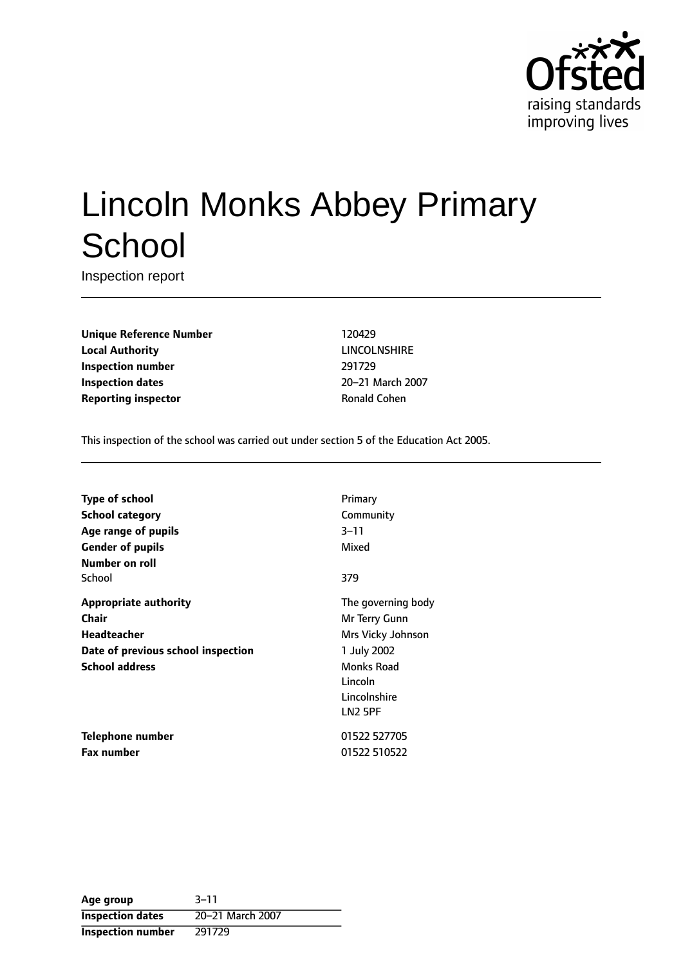

# Lincoln Monks Abbey Primary **School**

Inspection report

**Unique Reference Number** 120429 **Local Authority** LINCOLNSHIRE **Inspection number** 291729 **Inspection dates** 20-21 March 2007 **Reporting inspector Community Ronald Cohen** 

This inspection of the school was carried out under section 5 of the Education Act 2005.

| <b>Type of school</b>              | Primary            |
|------------------------------------|--------------------|
| School category                    | Community          |
| Age range of pupils                | 3–11               |
| <b>Gender of pupils</b>            | Mixed              |
| Number on roll                     |                    |
| School                             | 379                |
| <b>Appropriate authority</b>       | The governing body |
| Chair                              | Mr Terry Gunn      |
| Headteacher                        | Mrs Vicky Johnson  |
| Date of previous school inspection | 1 July 2002        |
| <b>School address</b>              | Monks Road         |
|                                    | Lincoln            |
|                                    | Lincolnshire       |
|                                    | LN2 5PF            |
| Telephone number                   | 01522 527705       |
| <b>Fax number</b>                  | 01522 510522       |

| Age group                | $3 - 11$         |
|--------------------------|------------------|
| <b>Inspection dates</b>  | 20-21 March 2007 |
| <b>Inspection number</b> | 291729           |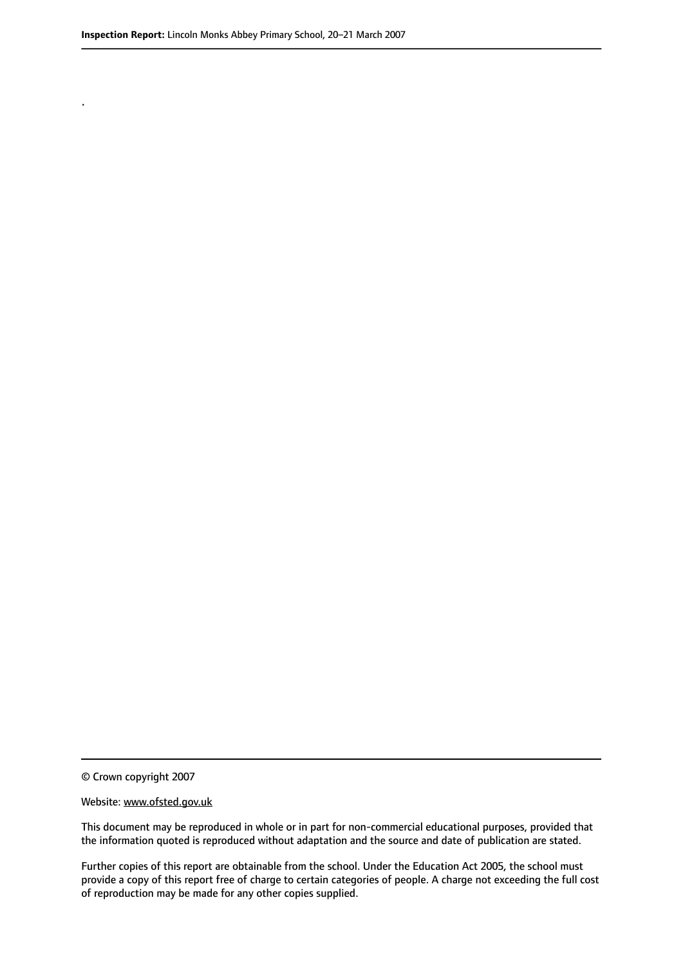.

© Crown copyright 2007

#### Website: www.ofsted.gov.uk

This document may be reproduced in whole or in part for non-commercial educational purposes, provided that the information quoted is reproduced without adaptation and the source and date of publication are stated.

Further copies of this report are obtainable from the school. Under the Education Act 2005, the school must provide a copy of this report free of charge to certain categories of people. A charge not exceeding the full cost of reproduction may be made for any other copies supplied.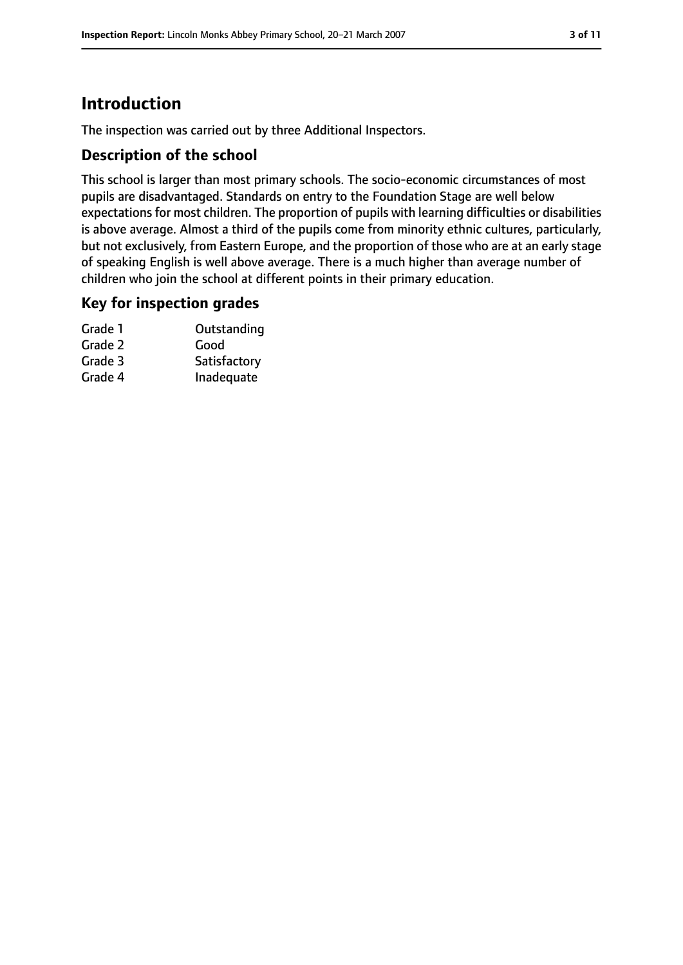### **Introduction**

The inspection was carried out by three Additional Inspectors.

#### **Description of the school**

This school is larger than most primary schools. The socio-economic circumstances of most pupils are disadvantaged. Standards on entry to the Foundation Stage are well below expectations for most children. The proportion of pupils with learning difficulties or disabilities is above average. Almost a third of the pupils come from minority ethnic cultures, particularly, but not exclusively, from Eastern Europe, and the proportion of those who are at an early stage of speaking English is well above average. There is a much higher than average number of children who join the school at different points in their primary education.

#### **Key for inspection grades**

| Grade 1 | Outstanding  |
|---------|--------------|
| Grade 2 | Good         |
| Grade 3 | Satisfactory |
| Grade 4 | Inadequate   |
|         |              |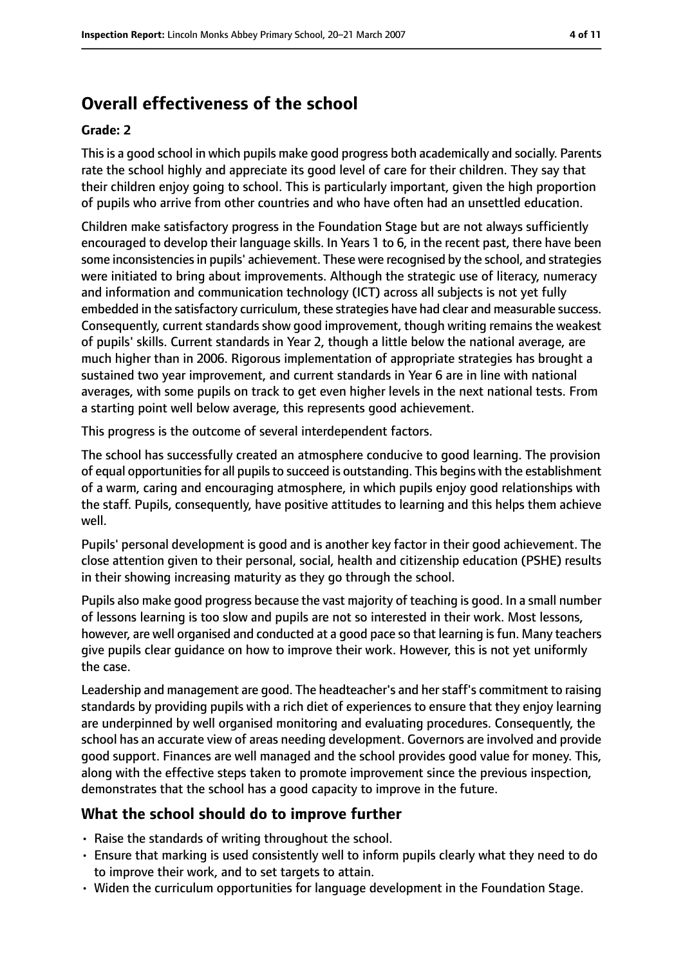### **Overall effectiveness of the school**

#### **Grade: 2**

Thisis a good school in which pupils make good progress both academically and socially. Parents rate the school highly and appreciate its good level of care for their children. They say that their children enjoy going to school. This is particularly important, given the high proportion of pupils who arrive from other countries and who have often had an unsettled education.

Children make satisfactory progress in the Foundation Stage but are not always sufficiently encouraged to develop their language skills. In Years 1 to 6, in the recent past, there have been some inconsistencies in pupils' achievement. These were recognised by the school, and strategies were initiated to bring about improvements. Although the strategic use of literacy, numeracy and information and communication technology (ICT) across all subjects is not yet fully embedded in the satisfactory curriculum, these strategies have had clear and measurable success. Consequently, current standards show good improvement, though writing remains the weakest of pupils' skills. Current standards in Year 2, though a little below the national average, are much higher than in 2006. Rigorous implementation of appropriate strategies has brought a sustained two year improvement, and current standards in Year 6 are in line with national averages, with some pupils on track to get even higher levels in the next national tests. From a starting point well below average, this represents good achievement.

This progress is the outcome of several interdependent factors.

The school has successfully created an atmosphere conducive to good learning. The provision of equal opportunities for all pupils to succeed is outstanding. This begins with the establishment of a warm, caring and encouraging atmosphere, in which pupils enjoy good relationships with the staff. Pupils, consequently, have positive attitudes to learning and this helps them achieve well.

Pupils' personal development is good and is another key factor in their good achievement. The close attention given to their personal, social, health and citizenship education (PSHE) results in their showing increasing maturity as they go through the school.

Pupils also make good progress because the vast majority of teaching is good. In a small number of lessons learning is too slow and pupils are not so interested in their work. Most lessons, however, are well organised and conducted at a good pace so that learning is fun. Many teachers give pupils clear guidance on how to improve their work. However, this is not yet uniformly the case.

Leadership and management are good. The headteacher's and her staff's commitment to raising standards by providing pupils with a rich diet of experiences to ensure that they enjoy learning are underpinned by well organised monitoring and evaluating procedures. Consequently, the school has an accurate view of areas needing development. Governors are involved and provide good support. Finances are well managed and the school provides good value for money. This, along with the effective steps taken to promote improvement since the previous inspection, demonstrates that the school has a good capacity to improve in the future.

#### **What the school should do to improve further**

- Raise the standards of writing throughout the school.
- Ensure that marking is used consistently well to inform pupils clearly what they need to do to improve their work, and to set targets to attain.
- Widen the curriculum opportunities for language development in the Foundation Stage.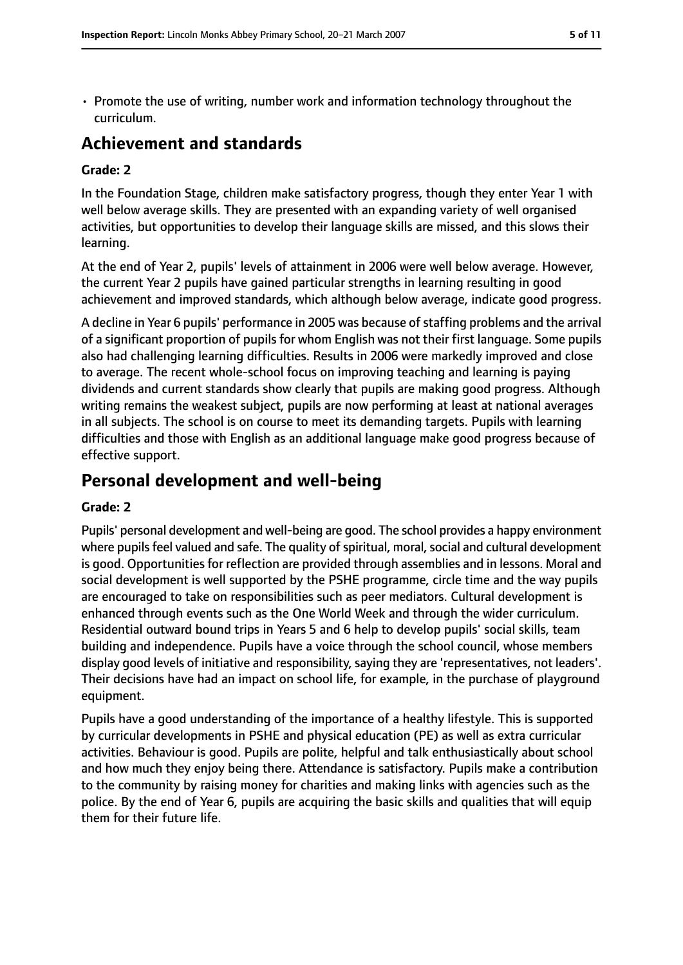- 
- Promote the use of writing, number work and information technology throughout the curriculum.

### **Achievement and standards**

#### **Grade: 2**

In the Foundation Stage, children make satisfactory progress, though they enter Year 1 with well below average skills. They are presented with an expanding variety of well organised activities, but opportunities to develop their language skills are missed, and this slows their learning.

At the end of Year 2, pupils' levels of attainment in 2006 were well below average. However, the current Year 2 pupils have gained particular strengths in learning resulting in good achievement and improved standards, which although below average, indicate good progress.

A decline in Year 6 pupils' performance in 2005 was because of staffing problems and the arrival of a significant proportion of pupils for whom English was not their first language. Some pupils also had challenging learning difficulties. Results in 2006 were markedly improved and close to average. The recent whole-school focus on improving teaching and learning is paying dividends and current standards show clearly that pupils are making good progress. Although writing remains the weakest subject, pupils are now performing at least at national averages in all subjects. The school is on course to meet its demanding targets. Pupils with learning difficulties and those with English as an additional language make good progress because of effective support.

### **Personal development and well-being**

#### **Grade: 2**

Pupils' personal development and well-being are good. The school provides a happy environment where pupils feel valued and safe. The quality of spiritual, moral, social and cultural development is good. Opportunities for reflection are provided through assemblies and in lessons. Moral and social development is well supported by the PSHE programme, circle time and the way pupils are encouraged to take on responsibilities such as peer mediators. Cultural development is enhanced through events such as the One World Week and through the wider curriculum. Residential outward bound trips in Years 5 and 6 help to develop pupils' social skills, team building and independence. Pupils have a voice through the school council, whose members display good levels of initiative and responsibility, saying they are 'representatives, not leaders'. Their decisions have had an impact on school life, for example, in the purchase of playground equipment.

Pupils have a good understanding of the importance of a healthy lifestyle. This is supported by curricular developments in PSHE and physical education (PE) as well as extra curricular activities. Behaviour is good. Pupils are polite, helpful and talk enthusiastically about school and how much they enjoy being there. Attendance is satisfactory. Pupils make a contribution to the community by raising money for charities and making links with agencies such as the police. By the end of Year 6, pupils are acquiring the basic skills and qualities that will equip them for their future life.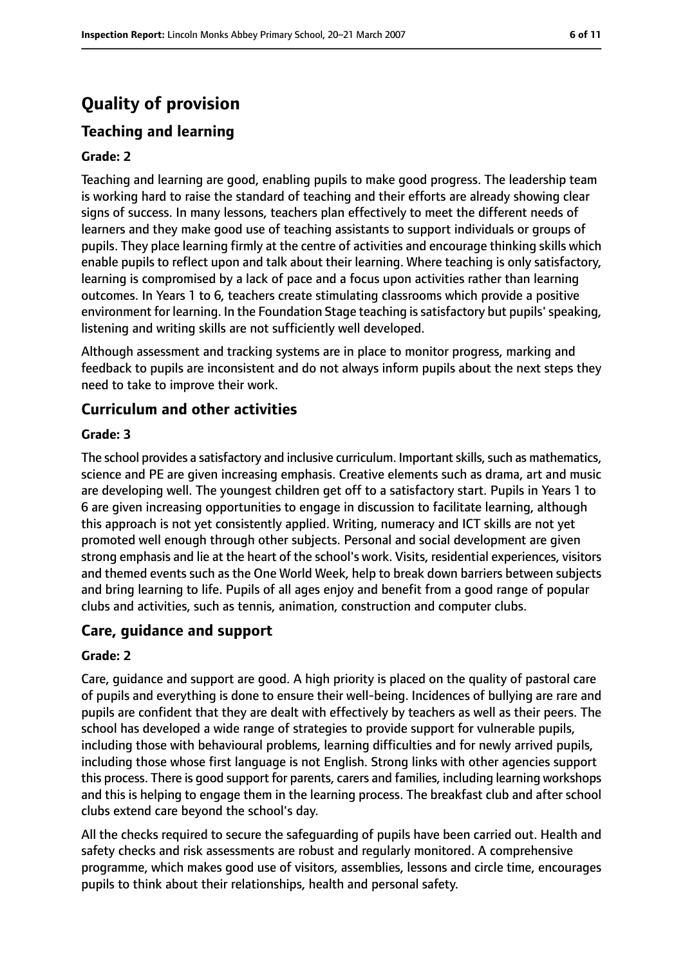## **Quality of provision**

### **Teaching and learning**

#### **Grade: 2**

Teaching and learning are good, enabling pupils to make good progress. The leadership team is working hard to raise the standard of teaching and their efforts are already showing clear signs of success. In many lessons, teachers plan effectively to meet the different needs of learners and they make good use of teaching assistants to support individuals or groups of pupils. They place learning firmly at the centre of activities and encourage thinking skills which enable pupils to reflect upon and talk about their learning. Where teaching is only satisfactory, learning is compromised by a lack of pace and a focus upon activities rather than learning outcomes. In Years 1 to 6, teachers create stimulating classrooms which provide a positive environment for learning. In the Foundation Stage teaching is satisfactory but pupils' speaking, listening and writing skills are not sufficiently well developed.

Although assessment and tracking systems are in place to monitor progress, marking and feedback to pupils are inconsistent and do not always inform pupils about the next steps they need to take to improve their work.

#### **Curriculum and other activities**

#### **Grade: 3**

The school provides a satisfactory and inclusive curriculum. Important skills, such as mathematics, science and PE are given increasing emphasis. Creative elements such as drama, art and music are developing well. The youngest children get off to a satisfactory start. Pupils in Years 1 to 6 are given increasing opportunities to engage in discussion to facilitate learning, although this approach is not yet consistently applied. Writing, numeracy and ICT skills are not yet promoted well enough through other subjects. Personal and social development are given strong emphasis and lie at the heart of the school's work. Visits, residential experiences, visitors and themed events such as the One World Week, help to break down barriers between subjects and bring learning to life. Pupils of all ages enjoy and benefit from a good range of popular clubs and activities, such as tennis, animation, construction and computer clubs.

#### **Care, guidance and support**

#### **Grade: 2**

Care, guidance and support are good. A high priority is placed on the quality of pastoral care of pupils and everything is done to ensure their well-being. Incidences of bullying are rare and pupils are confident that they are dealt with effectively by teachers as well as their peers. The school has developed a wide range of strategies to provide support for vulnerable pupils, including those with behavioural problems, learning difficulties and for newly arrived pupils, including those whose first language is not English. Strong links with other agencies support this process. There is good support for parents, carers and families, including learning workshops and this is helping to engage them in the learning process. The breakfast club and after school clubs extend care beyond the school's day.

All the checks required to secure the safeguarding of pupils have been carried out. Health and safety checks and risk assessments are robust and regularly monitored. A comprehensive programme, which makes good use of visitors, assemblies, lessons and circle time, encourages pupils to think about their relationships, health and personal safety.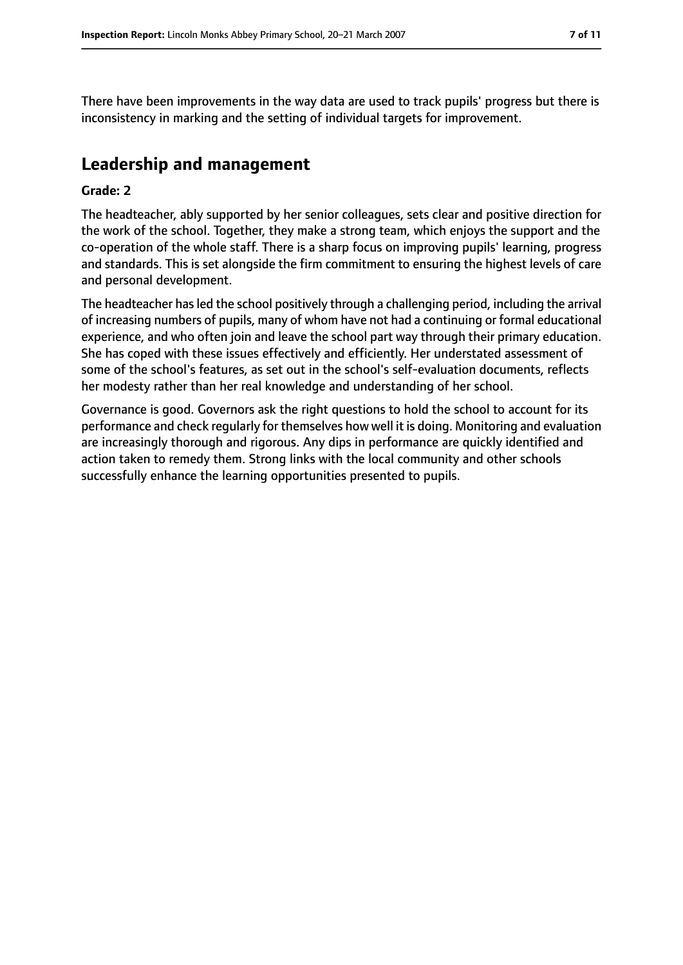There have been improvements in the way data are used to track pupils' progress but there is inconsistency in marking and the setting of individual targets for improvement.

### **Leadership and management**

#### **Grade: 2**

The headteacher, ably supported by her senior colleagues, sets clear and positive direction for the work of the school. Together, they make a strong team, which enjoys the support and the co-operation of the whole staff. There is a sharp focus on improving pupils' learning, progress and standards. This is set alongside the firm commitment to ensuring the highest levels of care and personal development.

The headteacher has led the school positively through a challenging period, including the arrival of increasing numbers of pupils, many of whom have not had a continuing or formal educational experience, and who often join and leave the school part way through their primary education. She has coped with these issues effectively and efficiently. Her understated assessment of some of the school's features, as set out in the school's self-evaluation documents, reflects her modesty rather than her real knowledge and understanding of her school.

Governance is good. Governors ask the right questions to hold the school to account for its performance and check regularly for themselves how well it is doing. Monitoring and evaluation are increasingly thorough and rigorous. Any dips in performance are quickly identified and action taken to remedy them. Strong links with the local community and other schools successfully enhance the learning opportunities presented to pupils.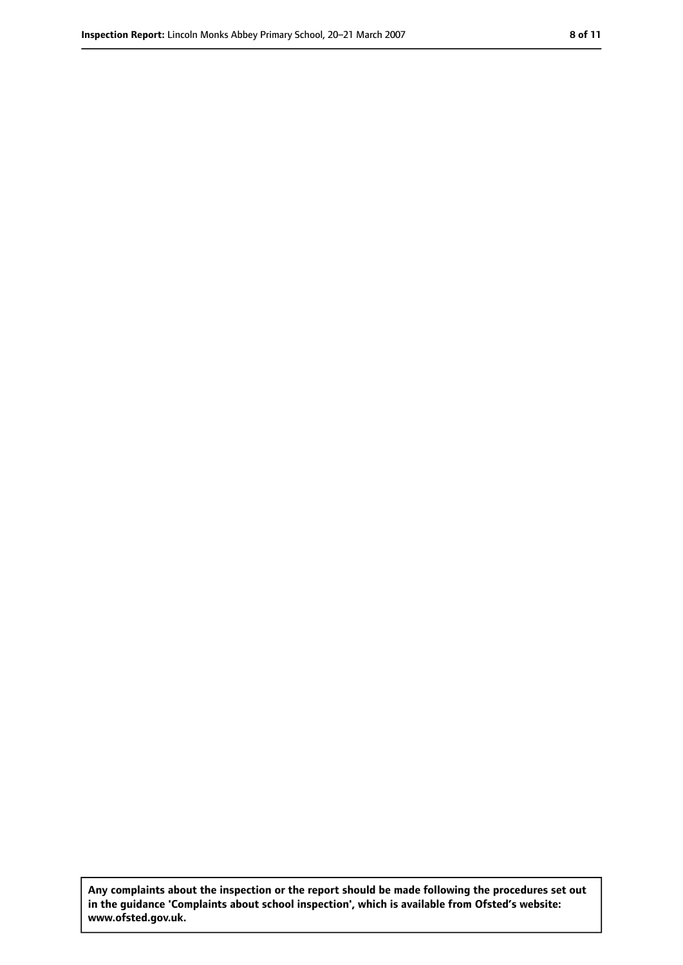**Any complaints about the inspection or the report should be made following the procedures set out in the guidance 'Complaints about school inspection', which is available from Ofsted's website: www.ofsted.gov.uk.**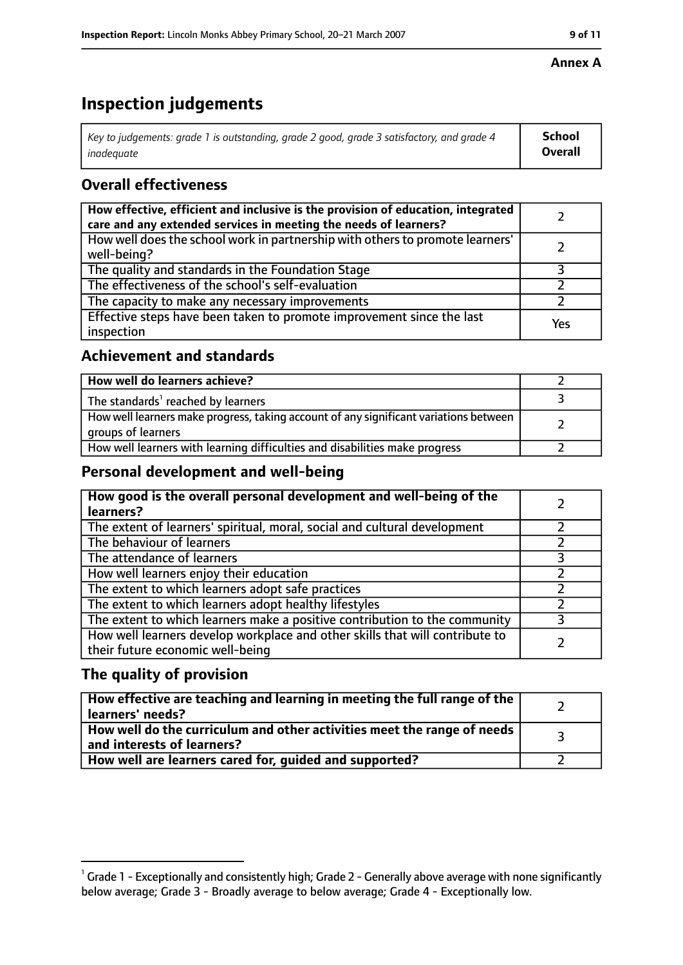#### **Annex A**

### **Inspection judgements**

| Key to judgements: grade 1 is outstanding, grade 2 good, grade 3 satisfactory, and grade 4 | <b>School</b>  |
|--------------------------------------------------------------------------------------------|----------------|
| inadequate                                                                                 | <b>Overall</b> |

### **Overall effectiveness**

| How effective, efficient and inclusive is the provision of education, integrated<br>care and any extended services in meeting the needs of learners? |     |
|------------------------------------------------------------------------------------------------------------------------------------------------------|-----|
| How well does the school work in partnership with others to promote learners'<br>well-being?                                                         |     |
| The quality and standards in the Foundation Stage                                                                                                    |     |
| The effectiveness of the school's self-evaluation                                                                                                    |     |
| The capacity to make any necessary improvements                                                                                                      |     |
| Effective steps have been taken to promote improvement since the last<br>inspection                                                                  | Yes |

#### **Achievement and standards**

| How well do learners achieve?                                                                               |  |
|-------------------------------------------------------------------------------------------------------------|--|
| The standards <sup>1</sup> reached by learners                                                              |  |
| How well learners make progress, taking account of any significant variations between<br>groups of learners |  |
| How well learners with learning difficulties and disabilities make progress                                 |  |

#### **Personal development and well-being**

| How good is the overall personal development and well-being of the<br>learners?                                  |  |
|------------------------------------------------------------------------------------------------------------------|--|
| The extent of learners' spiritual, moral, social and cultural development                                        |  |
| The behaviour of learners                                                                                        |  |
| The attendance of learners                                                                                       |  |
| How well learners enjoy their education                                                                          |  |
| The extent to which learners adopt safe practices                                                                |  |
| The extent to which learners adopt healthy lifestyles                                                            |  |
| The extent to which learners make a positive contribution to the community                                       |  |
| How well learners develop workplace and other skills that will contribute to<br>their future economic well-being |  |

#### **The quality of provision**

| How effective are teaching and learning in meeting the full range of the<br>learners' needs?          |  |
|-------------------------------------------------------------------------------------------------------|--|
| How well do the curriculum and other activities meet the range of needs<br>and interests of learners? |  |
| How well are learners cared for, quided and supported?                                                |  |

 $^1$  Grade 1 - Exceptionally and consistently high; Grade 2 - Generally above average with none significantly below average; Grade 3 - Broadly average to below average; Grade 4 - Exceptionally low.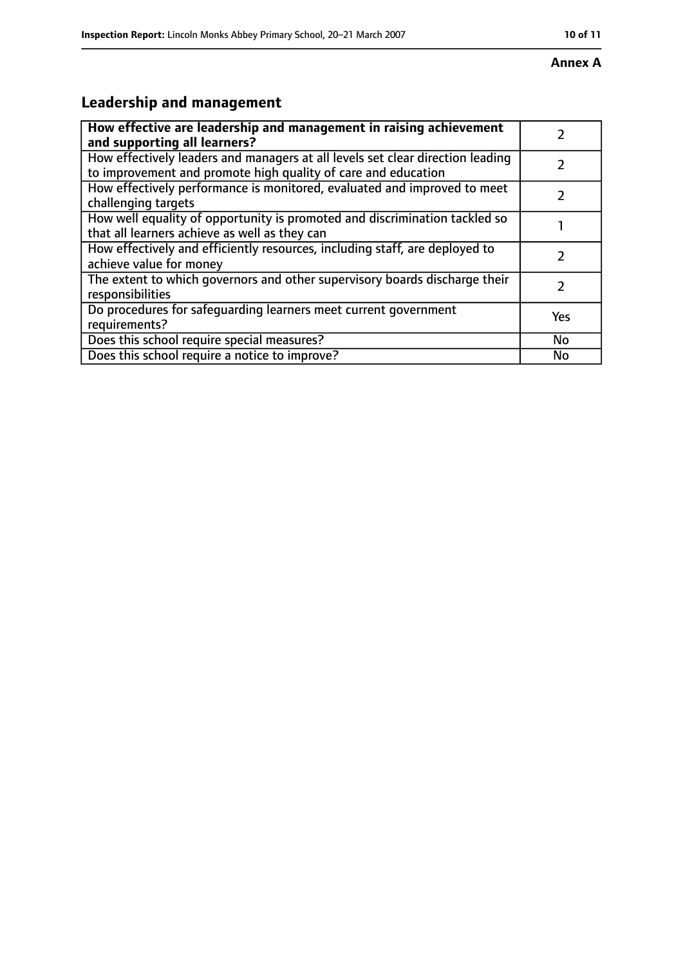#### **Annex A**

### **Leadership and management**

| How effective are leadership and management in raising achievement<br>and supporting all learners?                                              |           |
|-------------------------------------------------------------------------------------------------------------------------------------------------|-----------|
| How effectively leaders and managers at all levels set clear direction leading<br>to improvement and promote high quality of care and education |           |
| How effectively performance is monitored, evaluated and improved to meet<br>challenging targets                                                 |           |
| How well equality of opportunity is promoted and discrimination tackled so<br>that all learners achieve as well as they can                     |           |
| How effectively and efficiently resources, including staff, are deployed to<br>achieve value for money                                          |           |
| The extent to which governors and other supervisory boards discharge their<br>responsibilities                                                  | 7         |
| Do procedures for safequarding learners meet current government<br>requirements?                                                                | Yes       |
| Does this school require special measures?                                                                                                      | <b>No</b> |
| Does this school require a notice to improve?                                                                                                   | No        |